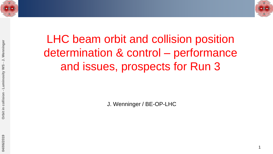

1



# LHC beam orbit and collision position determination & control – performance and issues, prospects for Run 3

J. Wenninger / BE-OP-LHC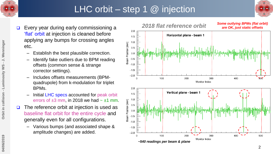

# LHC orbit – step 1  $@$  injection



- Every year during early commissioning a 'flat' orbit at injection is cleaned before applying any bumps for crossing angles etc.
	- Establish the best plausible correction.
	- Identify fake outliers due to BPM reading offsets (common sense & strange corrector settings).
	- Includes offsets measurements (BPMquadrupole) from k-modulation for triplet BPMs.
	- Initial LHC specs accounted for peak orbit errors of  $\pm 3$  mm, in 2018 we had  $\sim \pm 1$  mm.
- The reference orbit at injection is used as baseline flat orbit for the entire cycle and generally even for all configurations.
	- Various bumps (and associated shape & amplitude changes) are added.

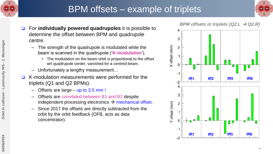



- For **individually powered quadrupoles** it is possible to determine the offset between BPM and quadrupole centre.
	- The strength of the quadrupole is modulated while the beam is scanned in the quadrupole ('**K-modulation**').
		- The modulation on the beam orbit is proportional to the offset wrt quadrupole center, vanished for a centred beam.
	- Unfortunately a lengthy measurement…
- $\Box$  K-modulation measurements were performed for the triplets (Q1 and Q2 BPMs).
	- Offsets are large up to  $3.5$  mm !
	- Offsets are correlated between B1 and B2 despite independent processing electronics  $\rightarrow$  mechanical offset.
	- Since 2017 the offsets are directly subtracted from the orbit by the orbit feedback (OFB, acts as data concentrator).

#### *BPM offsets in triplets (Q2.L → Q2.R)*

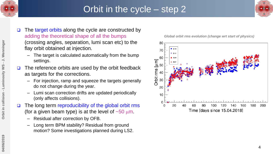



- $\Box$  The target orbits along the cycle are constructed by adding the theoretical shape of all the bumps (crossing angles, separation, lumi scan etc) to the flay orbit obtained at injection.
	- The target is calculated automatically from the bump settings.
- The reference orbits are used by the orbit feedback as targets for the corrections.
	- For injection, ramp and squeeze the targets generally do not change during the year.
	- Lumi scan correction drifts are updated periodically (only affects collisions).
- The long term reproducibility of the global orbit rms (for a given beam type) is at the level of  $\sim 50 \mu m$ .
	- Residual after correction by OFB.
	- Long term BPM stability? Residual from ground motion? Some investigations planned during LS2.

*Global orbit rms evolution (change wrt start of physics)*

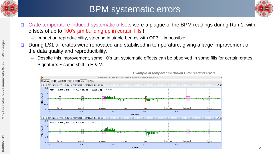

### BPM systematic errors



- □ Crate temperature induced systematic offsets were a plague of the BPM readings during Run 1, with offsets of up to  $100$ 's  $\mu$ m building up in certain fills !
	- Impact on reproducibility, steering in stable beams with OFB  $\sim$  impossible.
- □ During LS1 all crates were renovated and stabilised in temperature, giving a large improvement of the data quality and reproducibility.
	- Despite this improvement, some 10's  $\mu$ m systematic effects can be observed in some fills for certain crates.
	- Signature:  $\sim$  same shift in H & V.



*Example of temperature driven BPM reading errors*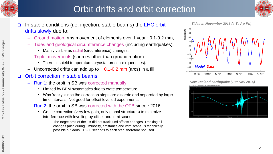

- J. Wenninger

- Luminosity WS

Orbit in collision

# Orbit drifts and orbit correction





- Ground motion, rms movement of elements over 1 year ~0.1-0.2 mm,
- Tides and geological circumference changes (including earthquakes),
	- Mainly visible as radial (circumference) changes.
- Triplet movements (sources other than ground motion).
	- Thermal shield temperature, cryostat pressure (quenches).
- Uncorrected drifts can add up to  $\sim$  0.1-0.2 mm (arcs) in a fill.

#### □ Orbit correction in stable beams:

- Run 1: the orbit in SB was corrected manually.
	- Limited by BPM systematics due to crate temperature.
	- Was 'rocky' since the correction steps are discrete and separated by large time intervals. Not good for offset levelled experiments.
- Run 2: the orbit in SB was corrected with the OFB since  $\sim$  2016.
	- Gentle correction (very low gain, only global structures) to minimize interference with levelling by offset and lumi scans.
		- The target orbit of the FB did not track lumi offsets changes. Tracking all changes (also during luminosity, emittance and vdm scans) is technically possible but adds ~15-30 seconds to each step, therefore not used.

*Tides in November 2016 (4 TeV p-Pb)*



*New Zealand earthquake (13th Nov 2016)*

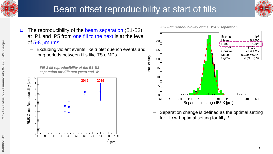





– Excluding violent events like triplet quench events and long periods between fills like TSs, MDs…

*Fill-2-fill reproducibility of the B1-B2 separation for different years and*  $\beta^*$ 





– Separation change is defined as the optimal setting for fill *j* wrt optimal setting for fill *j-1*.

*Fill-2-fill reproducibility of the B1-B2 separation*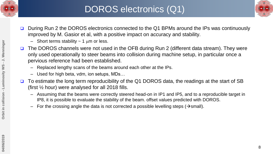



- □ During Run 2 the DOROS electronics connected to the Q1 BPMs around the IPs was continuously improved by M. Gasior et al, with a positive impact on accuracy and stability.
	- Short terms stability  $\sim$  1  $\mu$ m or less.
- The DOROS channels were not used in the OFB during Run 2 (different data stream). They were only used operationally to steer beams into collision during machine setup, in particular once a pervious reference had been established.
	- Replaced lengthy scans of the beams around each other at the IPs.
	- Used for high beta, vdm, ion setups, MDs…
- $\Box$  To estimate the long term reproducibility of the Q1 DOROS data, the readings at the start of SB (first ½ hour) were analysed for all 2018 fills.
	- Assuming that the beams were correctly steered head-on in IP1 and IP5, and to a reproducible target in IP8, it is possible to evaluate the stability of the beam. offset values predicted with DOROS.
	- For the crossing angle the data is not corrected a possible levelling steps ( $\rightarrow$ small).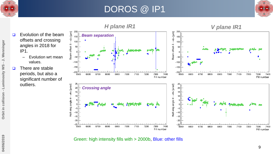

### DOROS @ IP1



9

 $\Box$  Evolution of the beam offsets and crossing angles in 2018 for IP1.

- Evolution wrt mean values.
- $\Box$  There are stable periods, but also a significant number of outliers.



Green: high intensity fills with > 2000b, Blue: other fills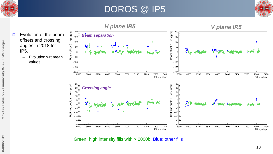

### DOROS @ IP5





Green: high intensity fills with > 2000b, Blue: other fills

10

- J. Wenninger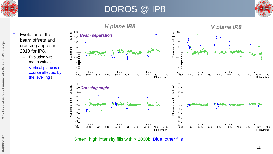

 $\Box$  Evolution of the

2018 for IP8.

– Evolution wrt

mean values.

### DOROS @ IP8



- J. Wenninger **04/06/2019 Orbit in collision - Luminosity WS - J. Wenninger**



Green: high intensity fills with > 2000b, Blue: other fills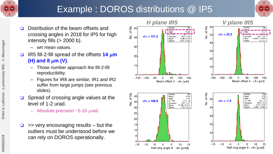

# Example : DOROS distributions @ IP5

Vo. of fills

Vo. of fills



- D Distribution of the beam offsets and crossing angles in 2018 for IP5 for high intensity fills  $(> 2000 b)$ .
	- wrt mean values.
- IR5 fill-2-fill spread of the offsets **14** m**m (H) and 8**  $\mu$ **m (V)**.
	- Those number approach the fill-2-fill reproducibility.
	- Figures for IR8 are similar, IR1 and IR2 suffer from large jumps (see previous slides).
- □ Spread of crossing angle values at the level of 1-2 urad.
	- Absolute precision  $\sim$  5-10  $\mu$ rad.
- >> very encouraging results but the outliers must be understood before we can rely on DOROS operationally.

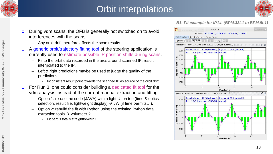

# Orbit interpolations



- During vdm scans, the OFB is generally not switched on to avoid interferences with the scans.
	- Any orbit drift therefore affects the scan results.
- A generic orbit/trajectory fitting tool of the steering application is currently used to estimate possible IP position shifts during scans.
	- Fit to the orbit data recorded in the arcs around scanned IP, result interpolated to the IP.
	- Left & right predictions maybe be used to judge the quality of the predictions.
		- Inconsistent result point towards the scanned IP as source of the orbit drift.
- For Run 3, one could consider building a dedicated fit tool for the vdm analysis instead of the current manual extraction and fitting.
	- Option 1: re-use the code (JAVA) with a light UI on top (time & optics selection, result file, lightweight display)  $\rightarrow$  JW (if time permits...).
	- Option 2: rebuild the fit with Python using the existing Python data extraction tools  $\rightarrow$  volunteer ?
		- Fit part is totally straightforward !

#### *B1: Fit example for IP1.L (BPM.33L1 to BPM.9L1)*